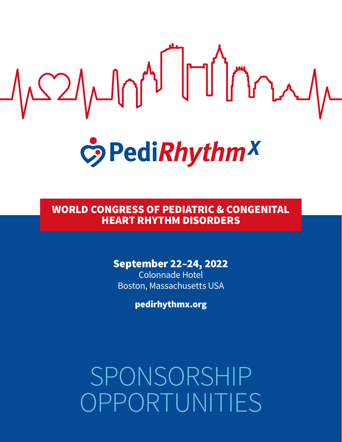

## WORLD CONGRESS OF PEDIATRIC & CONGENITAL HEART RHYTHM DISORDERS

## September 22–24, 2022

Colonnade Hotel Boston, Massachusetts USA

pedirhythmx.org

SPONSORSHIP OPPORTUNITIES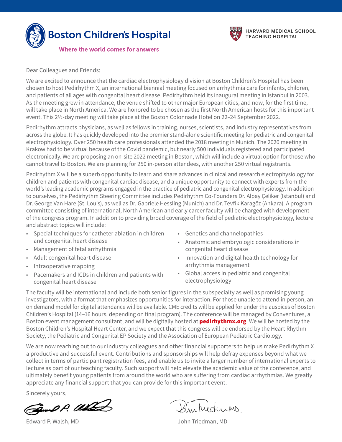



Dear Colleagues and Friends:

We are excited to announce that the cardiac electrophysiology division at Boston Children's Hospital has been chosen to host Pedirhythm X, an international biennial meeting focused on arrhythmia care for infants, children, and patients of all ages with congenital heart disease. Pedirhythm held its inaugural meeting in Istanbul in 2003. As the meeting grew in attendance, the venue shifted to other major European cities, and now, for the first time, will take place in North America. We are honored to be chosen as the first North American hosts for this important event. This 2½-day meeting will take place at the Boston Colonnade Hotel on 22–24 September 2022.

Pedirhythm attracts physicians, as well as fellows in training, nurses, scientists, and industry representatives from across the globe. It has quickly developed into the premier stand-alone scientific meeting for pediatric and congenital electrophysiology. Over 250 health care professionals attended the 2018 meeting in Munich. The 2020 meeting in Krakow had to be virtual because of the Covid pandemic, but nearly 500 individuals registered and participated electronically. We are proposing an on-site 2022 meeting in Boston, which will include a virtual option for those who cannot travel to Boston. We are planning for 250 in-person attendees, with another 250 virtual registrants.

Pedirhythm X will be a superb opportunity to learn and share advances in clinical and research electrophysiology for children and patients with congenital cardiac disease, and a unique opportunity to connect with experts from the world's leading academic programs engaged in the practice of pediatric and congenital electrophysiology. In addition to ourselves, the Pedirhythm Steering Committee includes Pedirhythm Co-Founders Dr. Alpay Çeliker (Istanbul) and Dr. George Van Hare (St. Louis), as well as Dr. Gabriele Hessling (Munich) and Dr. Tevfik Karagöz (Ankara). A program committee consisting of international, North American and early career faculty will be charged with development of the congress program. In addition to providing broad coverage of the field of pediatric electrophysiology, lecture and abstract topics will include:

- Special techniques for catheter ablation in children and congenital heart disease
- Management of fetal arrhythmia
- Adult congenital heart disease
- Intraoperative mapping
- Pacemakers and ICDs in children and patients with congenital heart disease
- Genetics and channelopathies
- Anatomic and embryologic considerations in congenital heart disease
- Innovation and digital health technology for arrhythmia management
- Global access in pediatric and congenital electrophysiology

The faculty will be international and include both senior figures in the subspecialty as well as promising young investigators, with a format that emphasizes opportunities for interaction. For those unable to attend in person, an on demand model for digital attendance will be available. CME credits will be applied for under the auspices of Boston Children's Hospital (14–16 hours, depending on final program). The conference will be managed by Conventures, a Boston event management consultant, and will be digitally hosted at **[pedirhythmx.org](http://pedirhythmx.org)**. We will be hosted by the Boston Children's Hospital Heart Center, and we expect that this congress will be endorsed by the Heart Rhythm Society, the Pediatric and Congenital EP Society and the Association of European Pediatric Cardiology.

We are now reaching out to our industry colleagues and other financial supporters to help us make Pedirhythm X a productive and successful event. Contributions and sponsorships will help defray expenses beyond what we collect in terms of participant registration fees, and enable us to invite a larger number of international experts to lecture as part of our teaching faculty. Such support will help elevate the academic value of the conference, and ultimately benefit young patients from around the world who are suffering from cardiac arrhythmias. We greatly appreciate any financial support that you can provide for this important event.

Sincerely yours,

Good P. Wand

Edward P. Walsh, MD John Triedman, MD

Blurkederins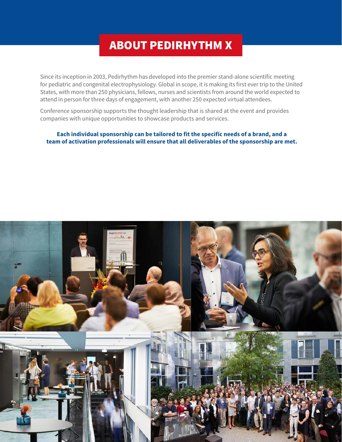## ABOUT PEDIRHYTHM X

Since its inception in 2003, Pedirhythm has developed into the premier stand-alone scientific meeting for pediatric and congenital electrophysiology. Global in scope, it is making its first ever trip to the United States, with more than 250 physicians, fellows, nurses and scientists from around the world expected to attend in person for three days of engagement, with another 250 expected virtual attendees.

Conference sponsorship supports the thought leadership that is shared at the event and provides companies with unique opportunities to showcase products and services.

### **Each individual sponsorship can be tailored to fit the specific needs of a brand, and a team of activation professionals will ensure that all deliverables of the sponsorship are met.**

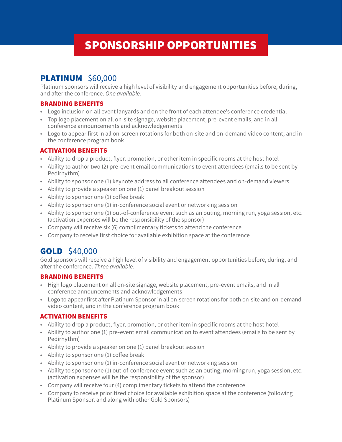# SPONSORSHIP OPPORTUNITIES

## **PLATINUM** \$60,000

Platinum sponsors will receive a high level of visibility and engagement opportunities before, during, and after the conference. *One available.*

### BRANDING BENEFITS

- Logo inclusion on all event lanyards and on the front of each attendee's conference credential
- Top logo placement on all on-site signage, website placement, pre-event emails, and in all conference announcements and acknowledgements
- Logo to appear first in all on-screen rotations for both on-site and on-demand video content, and in the conference program book

### ACTIVATION BENEFITS

- Ability to drop a product, flyer, promotion, or other item in specific rooms at the host hotel
- Ability to author two (2) pre-event email communications to event attendees (emails to be sent by Pedirhythm)
- Ability to sponsor one (1) keynote address to all conference attendees and on-demand viewers
- Ability to provide a speaker on one (1) panel breakout session
- Ability to sponsor one (1) coffee break
- Ability to sponsor one (1) in-conference social event or networking session
- Ability to sponsor one (1) out-of-conference event such as an outing, morning run, yoga session, etc. (activation expenses will be the responsibility of the sponsor)
- Company will receive six (6) complimentary tickets to attend the conference
- Company to receive first choice for available exhibition space at the conference

## **GOLD** \$40,000

Gold sponsors will receive a high level of visibility and engagement opportunities before, during, and after the conference. *Three available.*

### BRANDING BENEFITS

- High logo placement on all on-site signage, website placement, pre-event emails, and in all conference announcements and acknowledgements
- Logo to appear first after Platinum Sponsor in all on-screen rotations for both on-site and on-demand video content, and in the conference program book

### ACTIVATION BENEFITS

- Ability to drop a product, flyer, promotion, or other item in specific rooms at the host hotel
- Ability to author one (1) pre-event email communication to event attendees (emails to be sent by Pedirhythm)
- Ability to provide a speaker on one (1) panel breakout session
- Ability to sponsor one (1) coffee break
- Ability to sponsor one (1) in-conference social event or networking session
- Ability to sponsor one (1) out-of-conference event such as an outing, morning run, yoga session, etc. (activation expenses will be the responsibility of the sponsor)
- Company will receive four (4) complimentary tickets to attend the conference
- Company to receive prioritized choice for available exhibition space at the conference (following Platinum Sponsor, and along with other Gold Sponsors)